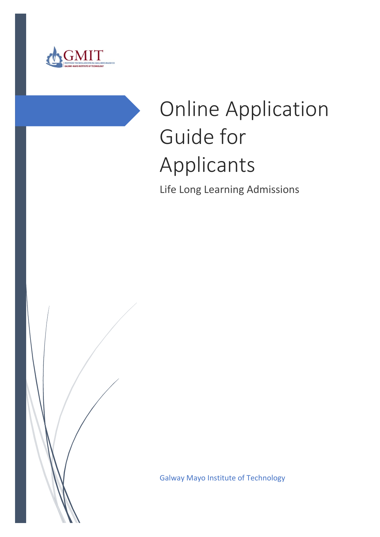

# Online Application Guide for Applicants

Life Long Learning Admissions

Galway Mayo Institute of Technology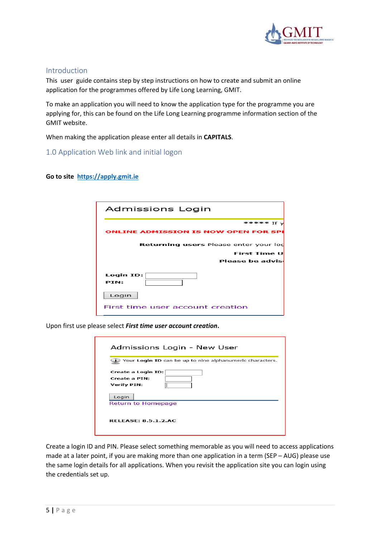

### Introduction

This user guide contains step by step instructions on how to create and submit an online application for the programmes offered by Life Long Learning, GMIT.

To make an application you will need to know the application type for the programme you are applying for, this can be found on the Life Long Learning programme information section of the GMIT website.

When making the application please enter all details in **CAPITALS**.

1.0 Application Web link and initial logon

#### **Go to site [https://apply.gmit.ie](https://apply.gmit.ie/)**

| Admissions Login                             |
|----------------------------------------------|
| ***** If \                                   |
| <b>ONLINE ADMISSION IS NOW OPEN FOR SPI</b>  |
| <b>Returning users Please enter your lod</b> |
| First Time U                                 |
| Please be advisi                             |
| Login ID:<br><b>PTN:</b>                     |
| Login                                        |
| First time user account creation             |

Upon first use please select *First time user account creation***.**

|                    | Your Login ID can be up to nine alphanumeric characters. |
|--------------------|----------------------------------------------------------|
|                    | Create a Login ID:                                       |
| Create a PIN:      |                                                          |
| <b>Verify PIN:</b> |                                                          |
| Login              |                                                          |
|                    | Return to Homepage                                       |
|                    |                                                          |
|                    | <b>RELEASE: 8.5.1.2.AC</b>                               |

Create a login ID and PIN. Please select something memorable as you will need to access applications made at a later point, if you are making more than one application in a term (SEP – AUG) please use the same login details for all applications. When you revisit the application site you can login using the credentials set up.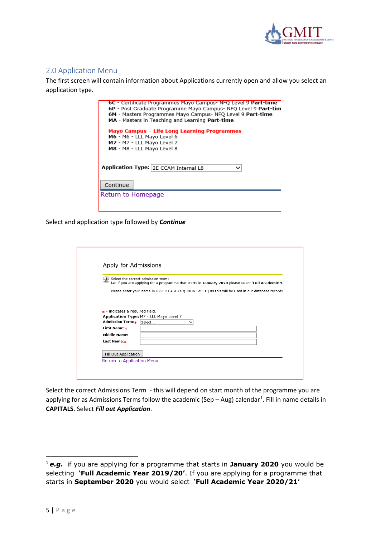

# 2.0 Application Menu

The first screen will contain information about Applications currently open and allow you select an application type.

| 6C - Certificate Programmes Mayo Campus- NFQ Level 9 Part-time<br>6P - Post Graduate Programme Mayo Campus- NFQ Level 9 Part-tim |  |  |  |
|----------------------------------------------------------------------------------------------------------------------------------|--|--|--|
| 6M - Masters Programmes Mayo Campus- NFO Level 9 Part-time                                                                       |  |  |  |
| MA - Masters in Teaching and Learning Part-time                                                                                  |  |  |  |
| Mayo Campus - Life Long Learning Programmes                                                                                      |  |  |  |
| M6 - M6 - LLL Mayo Level 6                                                                                                       |  |  |  |
| M7 - M7 - LLL Mayo Level 7                                                                                                       |  |  |  |
| M8 - M8 - LLL Mayo Level 8                                                                                                       |  |  |  |
|                                                                                                                                  |  |  |  |
|                                                                                                                                  |  |  |  |
| Application Type: 2E CCAM Internal L8                                                                                            |  |  |  |
|                                                                                                                                  |  |  |  |
|                                                                                                                                  |  |  |  |
| Continue                                                                                                                         |  |  |  |
| Return to Homepage                                                                                                               |  |  |  |
|                                                                                                                                  |  |  |  |
|                                                                                                                                  |  |  |  |
|                                                                                                                                  |  |  |  |

Select and application type followed by *Continue* 

|                                 | Select the correct admission term:<br>i.e. if you are applying for a programme that starts in January 2020 please select 'Full Academic Y |
|---------------------------------|-------------------------------------------------------------------------------------------------------------------------------------------|
|                                 | Please enter your name in UPPER CASE (e.g JOHN SMITH) as this will be used in our database records                                        |
|                                 |                                                                                                                                           |
|                                 |                                                                                                                                           |
|                                 |                                                                                                                                           |
| + - indicates a required field. |                                                                                                                                           |
|                                 | Application Type: M7 - LLL Mayo Level 7                                                                                                   |
| Admission Term: <sub>*</sub>    | Select<br>◡                                                                                                                               |
| First Name:*                    |                                                                                                                                           |
| <b>Middle Name:</b>             |                                                                                                                                           |
| Last Name:*                     |                                                                                                                                           |
|                                 |                                                                                                                                           |
|                                 |                                                                                                                                           |
| Fill Out Application            |                                                                                                                                           |

Select the correct Admissions Term - this will depend on start month of the programme you are applying for as Admissions Terms follow the academic (Sep  $-$  Aug) calendar<sup>[1](#page-2-0)</sup>. Fill in name details in **CAPITALS**. Select *Fill out Application*.

<span id="page-2-0"></span> <sup>1</sup> *e.g.* if you are applying for a programme that starts in **January 2020** you would be selecting **'Full Academic Year 2019/20'**. If you are applying for a programme that starts in **September 2020** you would select '**Full Academic Year 2020/21**'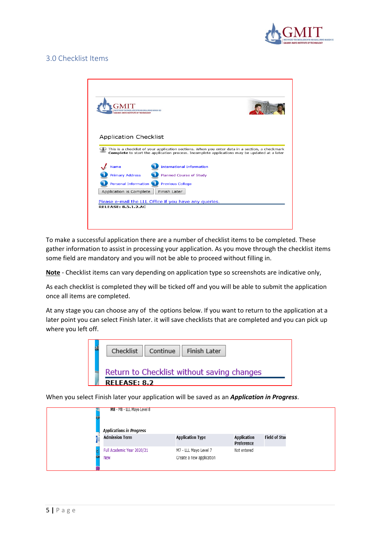

# 3.0 Checklist Items



To make a successful application there are a number of checklist items to be completed. These gather information to assist in processing your application. As you move through the checklist items some field are mandatory and you will not be able to proceed without filling in.

**Note** - Checklist items can vary depending on application type so screenshots are indicative only,

As each checklist is completed they will be ticked off and you will be able to submit the application once all items are completed.

At any stage you can choose any of the options below. If you want to return to the application at a later point you can select Finish later. it will save checklists that are completed and you can pick up where you left off.



When you select Finish later your application will be saved as an *Application in Progress*.

|    | M8 - M8 - LLL Mayo Level 8      |                          |                                  |                      |
|----|---------------------------------|--------------------------|----------------------------------|----------------------|
|    | <b>Applications in Progress</b> |                          |                                  |                      |
| ΙE | <b>Admission Term</b>           | <b>Application Type</b>  | <b>Application</b><br>Preference | <b>Field of Stuc</b> |
|    | Full Academic Year 2020/21      | M7 - LLL Mayo Level 7    | Not entered                      |                      |
|    | <b>New</b>                      | Create a new application |                                  |                      |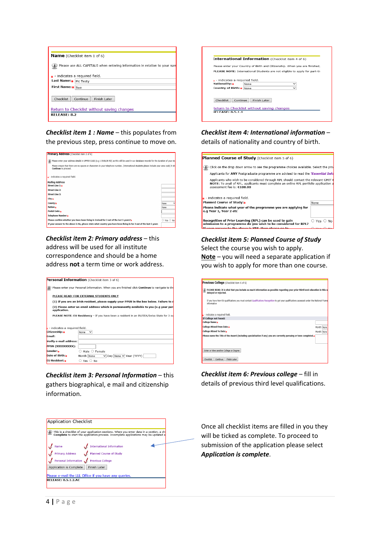| <b>Name</b> (Checklist item 1 of 6)                                                                        |                                                                           |  |  |
|------------------------------------------------------------------------------------------------------------|---------------------------------------------------------------------------|--|--|
|                                                                                                            | Please use ALL CAPITALS when entering information in relation to your nam |  |  |
|                                                                                                            | $\star$ - indicates a required field.                                     |  |  |
| Last Name: * Mc Testy                                                                                      |                                                                           |  |  |
| First Name:* Sue                                                                                           |                                                                           |  |  |
| Checklist<br>Continue<br>Finish Later<br>Return to Checklist without saving changes<br><b>RELEASE: 8.2</b> |                                                                           |  |  |

### *Checklist item 1 : Name* – this populates from the previous step, press continue to move on.



*Checklist item 2: Primary address* – this address will be used for all institute correspondence and should be a home address **not** a term time or work address.

|                                                                                                       | Personal Information (Checklist item 3 of 6)                                                    |  |  |
|-------------------------------------------------------------------------------------------------------|-------------------------------------------------------------------------------------------------|--|--|
|                                                                                                       | Please enter your Personal Information. When you are finished click Continue to navigate to the |  |  |
|                                                                                                       | PLEASE READ: FOR EXTERNAL STUDENTS ONLY                                                         |  |  |
| (1) If you are an Irish resident, please supply your PPSN in the box below. Failure to d              |                                                                                                 |  |  |
| (2) Please enter an email address which is permanently available to you (e.g your per<br>application. |                                                                                                 |  |  |
| PLEASE NOTE: EU Residency - If you have been a resident in an EU/EEA/Swiss State for 3 ou             |                                                                                                 |  |  |
|                                                                                                       |                                                                                                 |  |  |
| $\mathbf{k}$ - indicates a required field.                                                            |                                                                                                 |  |  |
| Citizenship:*                                                                                         | $\checkmark$<br>None                                                                            |  |  |
| Email:                                                                                                |                                                                                                 |  |  |
| Verify e-mail address:                                                                                |                                                                                                 |  |  |
| PPSN (XXXXXXXXX):                                                                                     |                                                                                                 |  |  |
| Gender:                                                                                               | $\bigcirc$ Male $\bigcirc$ Female                                                               |  |  |
| Date of Birth:*                                                                                       | V Day None V Year (YYYY)<br>Month None                                                          |  |  |
| <b>EU Resident:</b>                                                                                   | $\circ$ Yes $\circ$ No                                                                          |  |  |
|                                                                                                       |                                                                                                 |  |  |

*Checklist item 3: Personal Information* – this gathers biographical, e mail and citizenship information.



# *Checklist item 4: International information* –

details of nationality and country of birth.



#### *Checklist item 5: Planned Course of Study* Select the course you wish to apply. **Note** – you will need a separate application if you wish to apply for more than one course.

| Previous College (Checklist item 6 of 6)                                                                                                                  |            |
|-----------------------------------------------------------------------------------------------------------------------------------------------------------|------------|
| PLEASE READ: It is vital that you include as much information as possible regarding your prior third level education in this so<br>delayed or rejected.   |            |
| If you have Non-EU qualifications you must contact Qualifications Recognition to get your qualifications assessed under the National Frame<br>information |            |
| indicates a required field.                                                                                                                               |            |
| If College not found:                                                                                                                                     |            |
| College Name:                                                                                                                                             |            |
| College Attend From Date:*                                                                                                                                | Month None |
| College Attend To Date:                                                                                                                                   | Month None |
| Please name the Title of the Award (including specialisation if any) you are currently pursuing or have completed. $\ast$                                 |            |
| Enter or View another College or Degree                                                                                                                   |            |
| Checklist<br>Continue<br>Finish Later                                                                                                                     |            |

*Checklist item 6: Previous college* – fill in details of previous third level qualifications.



Once all checklist items are filled in you they will be ticked as complete. To proceed to submission of the application please select *Application is complete*.